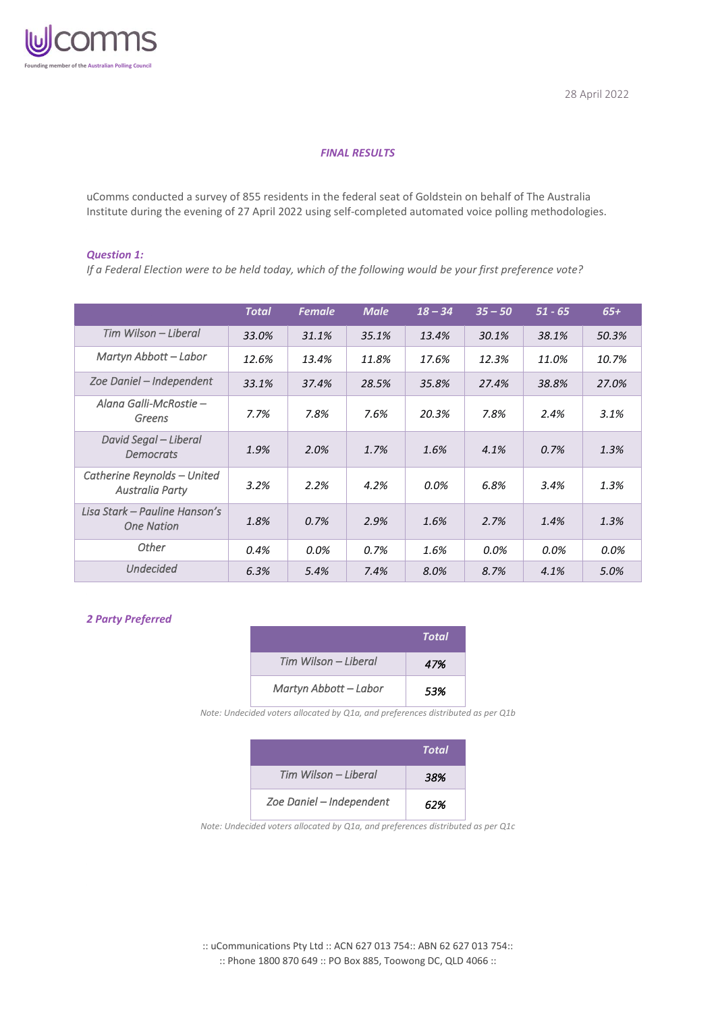

## *FINAL RESULTS*

uComms conducted a survey of 855 residents in the federal seat of Goldstein on behalf of The Australia Institute during the evening of 27 April 2022 using self-completed automated voice polling methodologies.

#### *Question 1:*

*If a Federal Election were to be held today, which of the following would be your first preference vote?*

|                                                    | <b>Total</b> | <b>Female</b> | <b>Male</b> | $18 - 34$ | $35 - 50$ | $51 - 65$ | $65+$ |
|----------------------------------------------------|--------------|---------------|-------------|-----------|-----------|-----------|-------|
| Tim Wilson – Liberal                               | 33.0%        | 31.1%         | 35.1%       | 13.4%     | 30.1%     | 38.1%     | 50.3% |
| Martyn Abbott - Labor                              | 12.6%        | 13.4%         | 11.8%       | 17.6%     | 12.3%     | 11.0%     | 10.7% |
| Zoe Daniel - Independent                           | 33.1%        | 37.4%         | 28.5%       | 35.8%     | 27.4%     | 38.8%     | 27.0% |
| Alana Galli-McRostie –<br>Greens                   | 7.7%         | 7.8%          | 7.6%        | 20.3%     | 7.8%      | 2.4%      | 3.1%  |
| David Segal – Liberal<br><b>Democrats</b>          | 1.9%         | 2.0%          | 1.7%        | 1.6%      | 4.1%      | 0.7%      | 1.3%  |
| Catherine Reynolds - United<br>Australia Party     | 3.2%         | 2.2%          | 4.2%        | $0.0\%$   | 6.8%      | 3.4%      | 1.3%  |
| Lisa Stark – Pauline Hanson's<br><b>One Nation</b> | 1.8%         | 0.7%          | 2.9%        | 1.6%      | 2.7%      | 1.4%      | 1.3%  |
| Other                                              | 0.4%         | 0.0%          | 0.7%        | 1.6%      | 0.0%      | 0.0%      | 0.0%  |
| <b>Undecided</b>                                   | 6.3%         | 5.4%          | 7.4%        | 8.0%      | 8.7%      | 4.1%      | 5.0%  |

## *2 Party Preferred*

|                       | Total |
|-----------------------|-------|
| Tim Wilson – Liberal  | 47%   |
| Martyn Abbott - Labor | .53%  |

*Note: Undecided voters allocated by Q1a, and preferences distributed as per Q1b*

|                          | Total |
|--------------------------|-------|
| Tim Wilson – Liberal     | 38%   |
| Zoe Daniel - Independent | 62%   |

*Note: Undecided voters allocated by Q1a, and preferences distributed as per Q1c*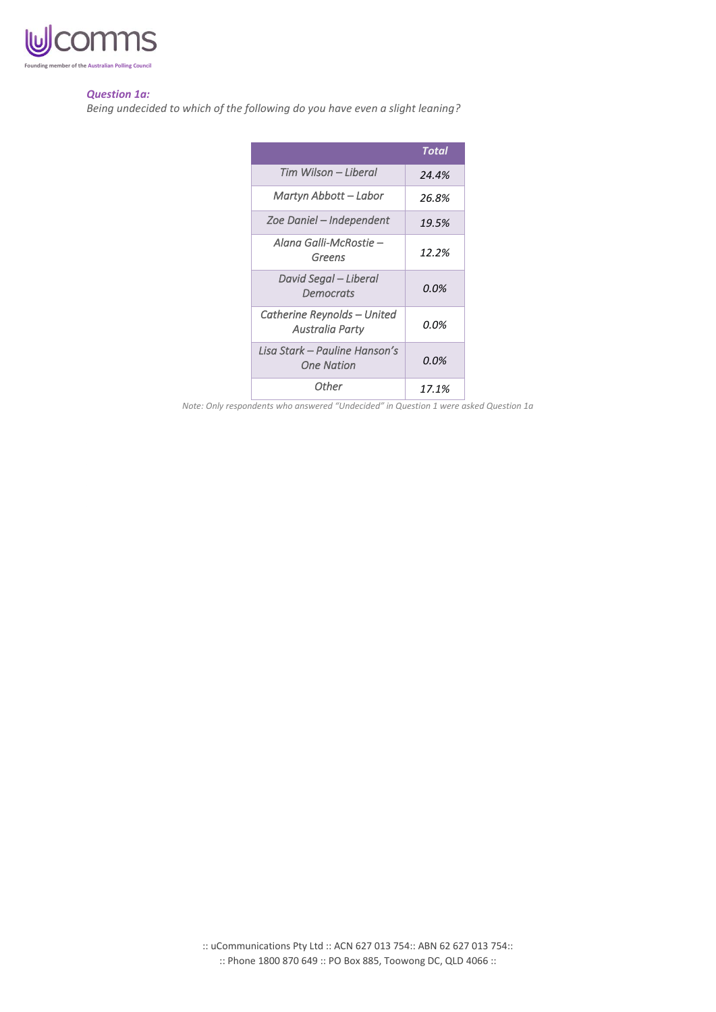

#### *Question 1a:*

*Being undecided to which of the following do you have even a slight leaning?*

|                                                    | Total |
|----------------------------------------------------|-------|
| Tim Wilson – Liberal                               | 24.4% |
| Martyn Abbott – Labor                              | 26.8% |
| Zoe Daniel – Independent                           | 19.5% |
| Alana Galli-McRostie –<br>Greens                   | 12.2% |
| David Segal – Liberal<br><b>Democrats</b>          | 0.0%  |
| Catherine Reynolds – United<br>Australia Party     | 0.0%  |
| Lisa Stark – Pauline Hanson's<br><b>One Nation</b> | 0.0%  |
| Other                                              | 17.1% |

*Note: Only respondents who answered "Undecided" in Question 1 were asked Question 1a*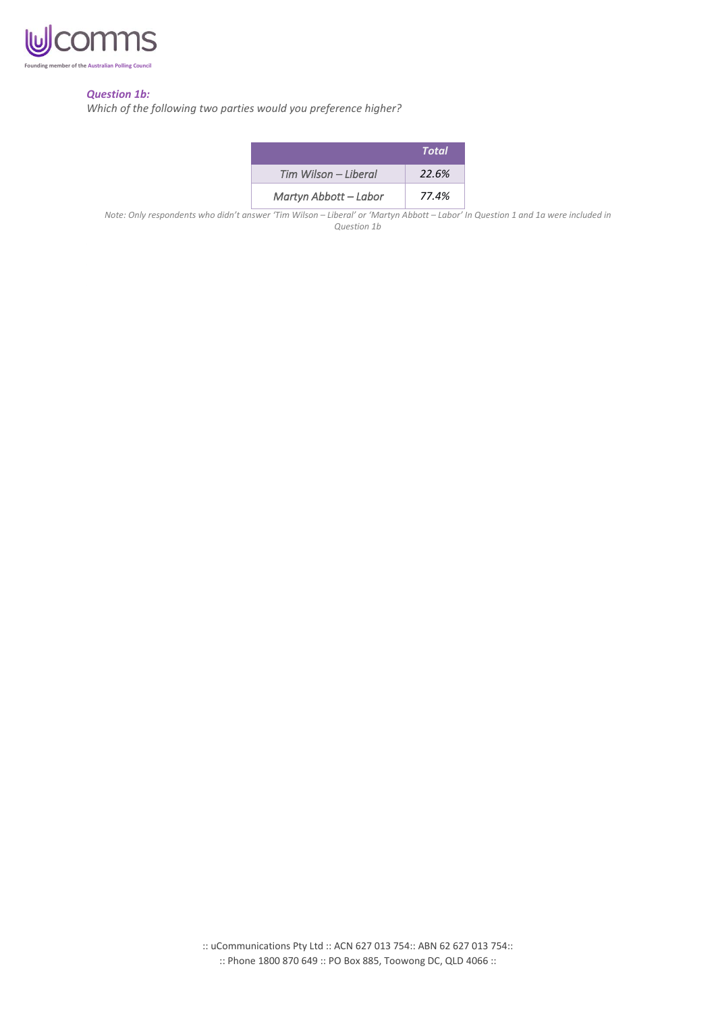

### *Question 1b:*

*Which of the following two parties would you preference higher?*

|                       | Total |
|-----------------------|-------|
| Tim Wilson - Liberal  | 22.6% |
| Martyn Abbott – Labor | 77.4% |

*Note: Only respondents who didn't answer 'Tim Wilson – Liberal' or 'Martyn Abbott – Labor' In Question 1 and 1a were included in Question 1b*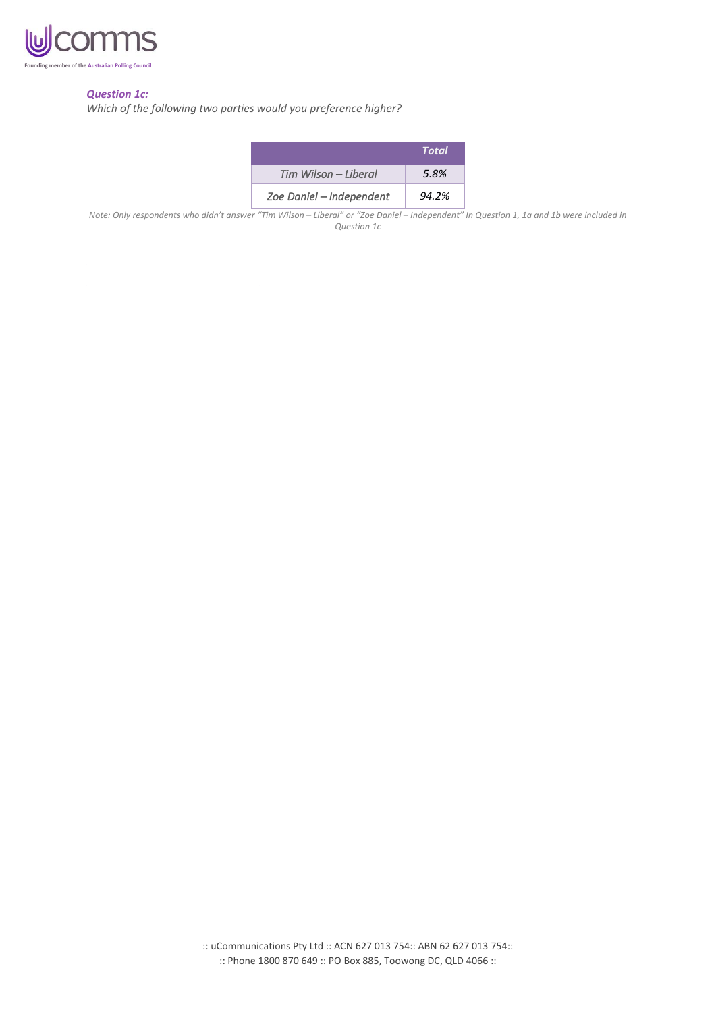

## *Question 1c:*

*Which of the following two parties would you preference higher?*

|                          | Total |
|--------------------------|-------|
| Tim Wilson - Liberal     | 5.8%  |
| Zoe Daniel - Independent | 94.2% |

Note: Only respondents who didn't answer "Tim Wilson - Liberal" or "Zoe Daniel - Independent" In Question 1, 1a and 1b were included in *Question 1c*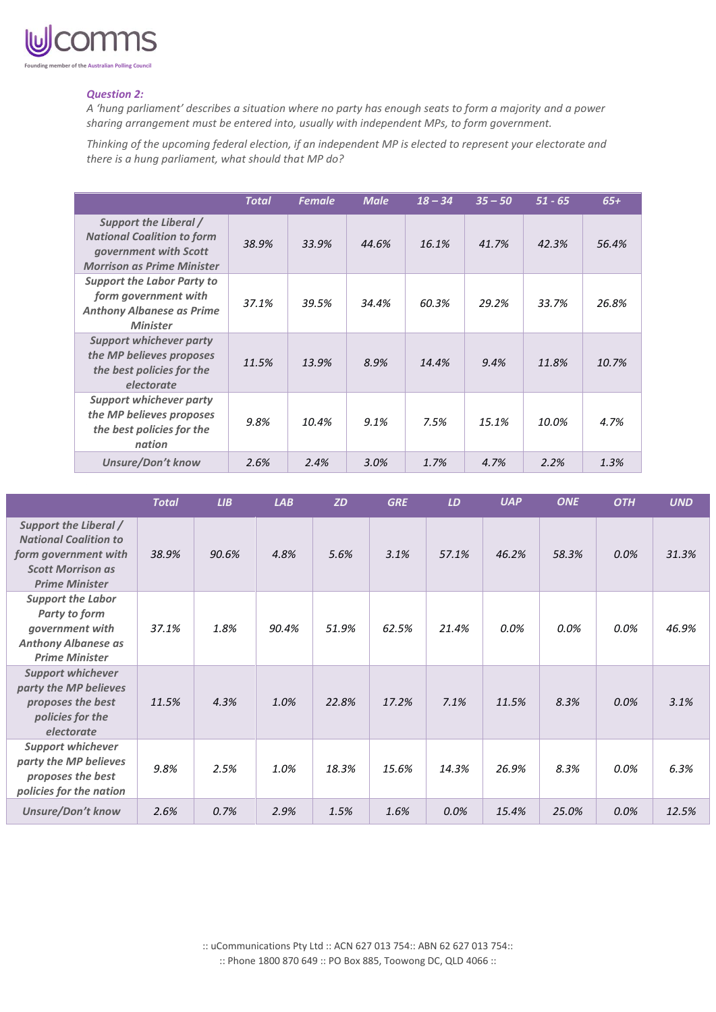

#### *Question 2:*

*A 'hung parliament' describes a situation where no party has enough seats to form a majority and a power sharing arrangement must be entered into, usually with independent MPs, to form government.*

*Thinking of the upcoming federal election, if an independent MP is elected to represent your electorate and there is a hung parliament, what should that MP do?*

|                                                                                                                          | <b>Total</b> | <b>Female</b> | <b>Male</b> | $18 - 34$ | $35 - 50$ | $51 - 65$ | $65+$ |
|--------------------------------------------------------------------------------------------------------------------------|--------------|---------------|-------------|-----------|-----------|-----------|-------|
| Support the Liberal /<br><b>National Coalition to form</b><br>government with Scott<br><b>Morrison as Prime Minister</b> | 38.9%        | 33.9%         | 44.6%       | 16.1%     | 41.7%     | 42.3%     | 56.4% |
| <b>Support the Labor Party to</b><br>form government with<br><b>Anthony Albanese as Prime</b><br><b>Minister</b>         | 37.1%        | 39.5%         | 34.4%       | 60.3%     | 29.2%     | 33.7%     | 26.8% |
| <b>Support whichever party</b><br>the MP believes proposes<br>the best policies for the<br>electorate                    | 11.5%        | 13.9%         | 8.9%        | 14.4%     | 9.4%      | 11.8%     | 10.7% |
| <b>Support whichever party</b><br>the MP believes proposes<br>the best policies for the<br>nation                        | 9.8%         | 10.4%         | 9.1%        | 7.5%      | 15.1%     | 10.0%     | 4.7%  |
| <b>Unsure/Don't know</b>                                                                                                 | 2.6%         | 2.4%          | 3.0%        | 1.7%      | 4.7%      | 2.2%      | 1.3%  |

|                                                                                                                                    | <b>Total</b> | LIB   | LAB   | <b>ZD</b> | <b>GRE</b> | LD    | <b>UAP</b> | <b>ONE</b> | <b>OTH</b> | <b>UND</b> |
|------------------------------------------------------------------------------------------------------------------------------------|--------------|-------|-------|-----------|------------|-------|------------|------------|------------|------------|
| Support the Liberal /<br><b>National Coalition to</b><br>form government with<br><b>Scott Morrison as</b><br><b>Prime Minister</b> | 38.9%        | 90.6% | 4.8%  | 5.6%      | 3.1%       | 57.1% | 46.2%      | 58.3%      | 0.0%       | 31.3%      |
| <b>Support the Labor</b><br>Party to form<br>government with<br><b>Anthony Albanese as</b><br><b>Prime Minister</b>                | 37.1%        | 1.8%  | 90.4% | 51.9%     | 62.5%      | 21.4% | 0.0%       | 0.0%       | 0.0%       | 46.9%      |
| <b>Support whichever</b><br>party the MP believes<br>proposes the best<br>policies for the<br>electorate                           | 11.5%        | 4.3%  | 1.0%  | 22.8%     | 17.2%      | 7.1%  | 11.5%      | 8.3%       | 0.0%       | 3.1%       |
| <b>Support whichever</b><br>party the MP believes<br>proposes the best<br>policies for the nation                                  | 9.8%         | 2.5%  | 1.0%  | 18.3%     | 15.6%      | 14.3% | 26.9%      | 8.3%       | $0.0\%$    | 6.3%       |
| <b>Unsure/Don't know</b>                                                                                                           | 2.6%         | 0.7%  | 2.9%  | 1.5%      | 1.6%       | 0.0%  | 15.4%      | 25.0%      | 0.0%       | 12.5%      |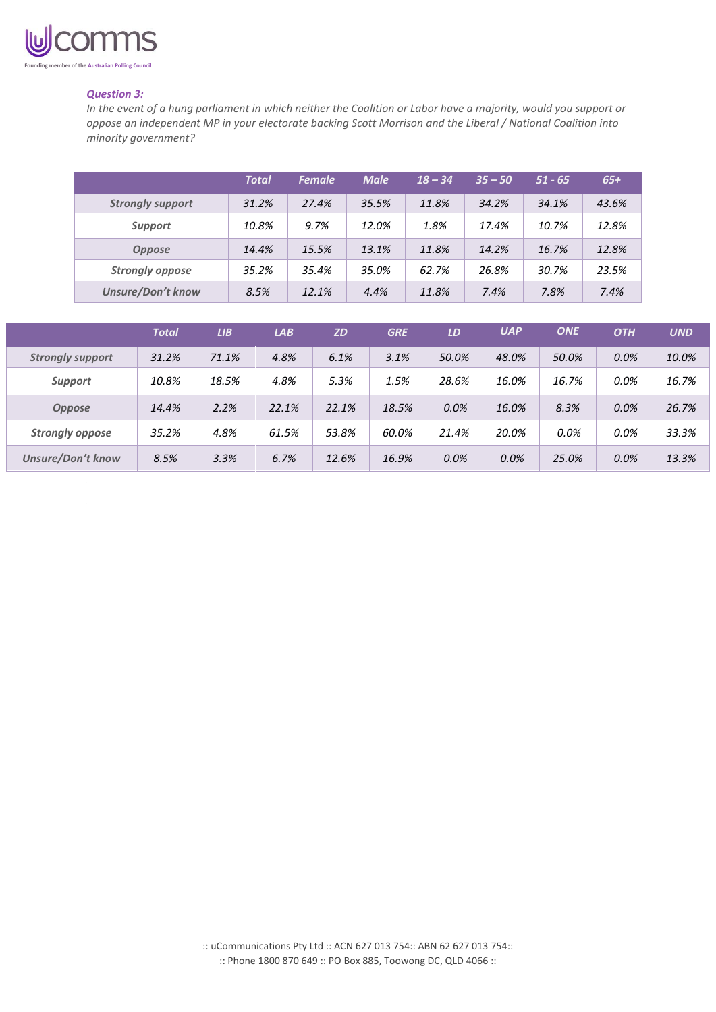

### *Question 3:*

*In the event of a hung parliament in which neither the Coalition or Labor have a majority, would you support or oppose an independent MP in your electorate backing Scott Morrison and the Liberal / National Coalition into minority government?*

|                          | <b>Total</b> | <b>Female</b> | <b>Male</b> | $18 - 34$ | $35 - 50$ | $51 - 65$ | $65+$ |
|--------------------------|--------------|---------------|-------------|-----------|-----------|-----------|-------|
| <b>Strongly support</b>  | 31.2%        | 27.4%         | 35.5%       | 11.8%     | 34.2%     | 34.1%     | 43.6% |
| <b>Support</b>           | 10.8%        | 9.7%          | 12.0%       | 1.8%      | 17.4%     | 10.7%     | 12.8% |
| <b>Oppose</b>            | 14.4%        | 15.5%         | 13.1%       | 11.8%     | 14.2%     | 16.7%     | 12.8% |
| <b>Strongly oppose</b>   | 35.2%        | 35.4%         | 35.0%       | 62.7%     | 26.8%     | 30.7%     | 23.5% |
| <b>Unsure/Don't know</b> | 8.5%         | 12.1%         | 4.4%        | 11.8%     | 7.4%      | 7.8%      | 7.4%  |

|                         | <b>Total</b> | LIB   | LAB   | <b>ZD</b> | <b>GRE</b> | LD    | <b>UAP</b> | <b>ONE</b> | <b>OTH</b> | <b>UND</b> |
|-------------------------|--------------|-------|-------|-----------|------------|-------|------------|------------|------------|------------|
| <b>Strongly support</b> | 31.2%        | 71.1% | 4.8%  | 6.1%      | 3.1%       | 50.0% | 48.0%      | 50.0%      | 0.0%       | 10.0%      |
| <b>Support</b>          | 10.8%        | 18.5% | 4.8%  | 5.3%      | 1.5%       | 28.6% | 16.0%      | 16.7%      | $0.0\%$    | 16.7%      |
| <b>Oppose</b>           | 14.4%        | 2.2%  | 22.1% | 22.1%     | 18.5%      | 0.0%  | 16.0%      | 8.3%       | 0.0%       | 26.7%      |
| <b>Strongly oppose</b>  | 35.2%        | 4.8%  | 61.5% | 53.8%     | 60.0%      | 21.4% | 20.0%      | 0.0%       | $0.0\%$    | 33.3%      |
| Unsure/Don't know       | 8.5%         | 3.3%  | 6.7%  | 12.6%     | 16.9%      | 0.0%  | 0.0%       | 25.0%      | 0.0%       | 13.3%      |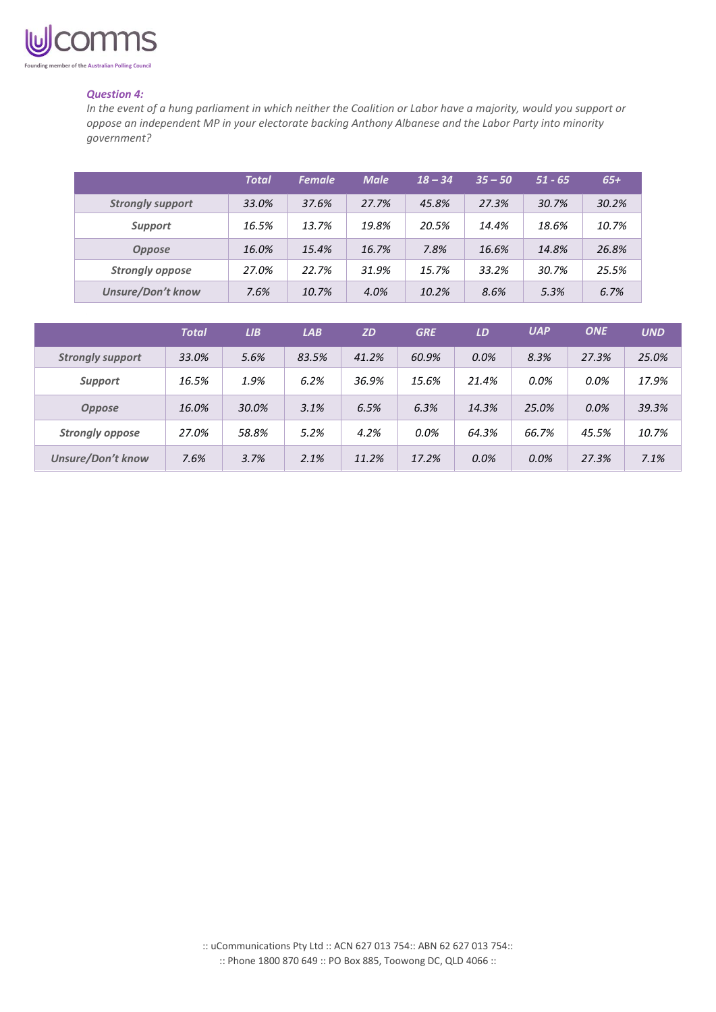

### *Question 4:*

*In the event of a hung parliament in which neither the Coalition or Labor have a majority, would you support or oppose an independent MP in your electorate backing Anthony Albanese and the Labor Party into minority government?*

|                          | <b>Total</b> | <b>Female</b> | <b>Male</b> | $18 - 34$ | $35 - 50$ | $51 - 65$ | $65+$ |
|--------------------------|--------------|---------------|-------------|-----------|-----------|-----------|-------|
| <b>Strongly support</b>  | 33.0%        | 37.6%         | 27.7%       | 45.8%     | 27.3%     | 30.7%     | 30.2% |
| <b>Support</b>           | 16.5%        | 13.7%         | 19.8%       | 20.5%     | 14.4%     | 18.6%     | 10.7% |
| <b>Oppose</b>            | 16.0%        | 15.4%         | 16.7%       | 7.8%      | 16.6%     | 14.8%     | 26.8% |
| <b>Strongly oppose</b>   | 27.0%        | 22.7%         | 31.9%       | 15.7%     | 33.2%     | 30.7%     | 25.5% |
| <b>Unsure/Don't know</b> | 7.6%         | 10.7%         | 4.0%        | 10.2%     | 8.6%      | 5.3%      | 6.7%  |

|                          | <b>Total</b> | LIB   | LAB   | <b>ZD</b> | <b>GRE</b> | LD    | <b>UAP</b> | <b>ONE</b> | <b>UND</b> |
|--------------------------|--------------|-------|-------|-----------|------------|-------|------------|------------|------------|
| <b>Strongly support</b>  | 33.0%        | 5.6%  | 83.5% | 41.2%     | 60.9%      | 0.0%  | 8.3%       | 27.3%      | 25.0%      |
| <b>Support</b>           | 16.5%        | 1.9%  | 6.2%  | 36.9%     | 15.6%      | 21.4% | 0.0%       | 0.0%       | 17.9%      |
| <b>Oppose</b>            | 16.0%        | 30.0% | 3.1%  | 6.5%      | 6.3%       | 14.3% | 25.0%      | 0.0%       | 39.3%      |
| <b>Strongly oppose</b>   | 27.0%        | 58.8% | 5.2%  | 4.2%      | $0.0\%$    | 64.3% | 66.7%      | 45.5%      | 10.7%      |
| <b>Unsure/Don't know</b> | 7.6%         | 3.7%  | 2.1%  | 11.2%     | 17.2%      | 0.0%  | 0.0%       | 27.3%      | 7.1%       |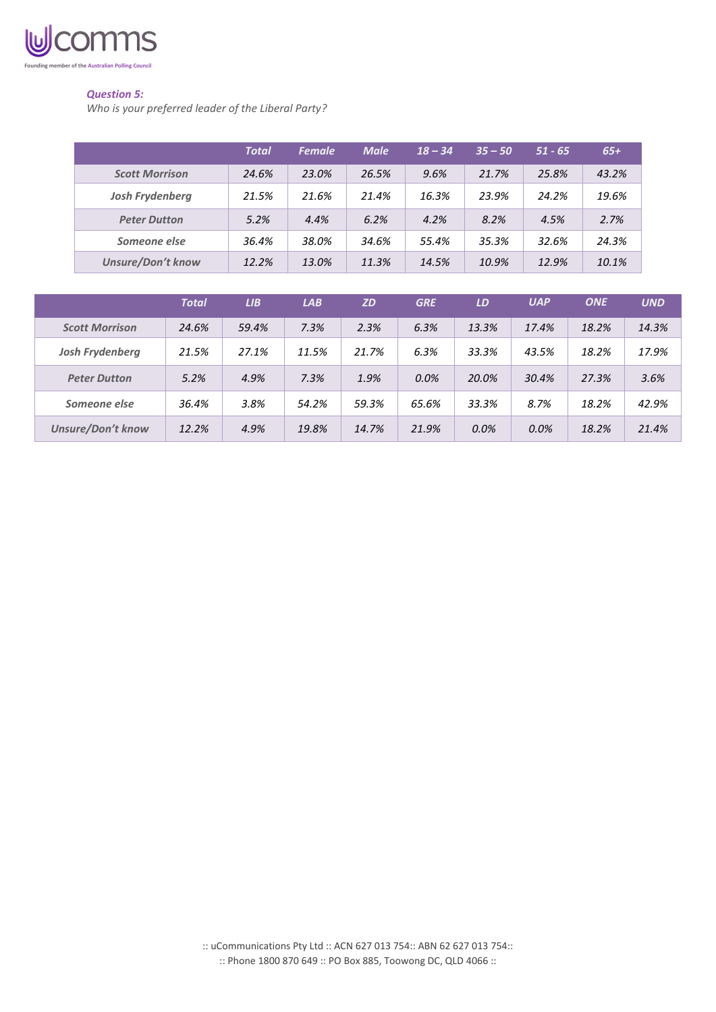

# *Question 5:*

*Who is your preferred leader of the Liberal Party?*

|                          | Total | <b>Female</b> | <b>Male</b> | $18 - 34$ | $35 - 50$ | $51 - 65$ | $65+$ |
|--------------------------|-------|---------------|-------------|-----------|-----------|-----------|-------|
| <b>Scott Morrison</b>    | 24.6% | 23.0%         | 26.5%       | 9.6%      | 21.7%     | 25.8%     | 43.2% |
| <b>Josh Frydenberg</b>   | 21.5% | 21.6%         | 21.4%       | 16.3%     | 23.9%     | 24.2%     | 19.6% |
| <b>Peter Dutton</b>      | 5.2%  | 4.4%          | 6.2%        | 4.2%      | 8.2%      | 4.5%      | 2.7%  |
| Someone else             | 36.4% | 38.0%         | 34.6%       | 55.4%     | 35.3%     | 32.6%     | 24.3% |
| <b>Unsure/Don't know</b> | 12.2% | 13.0%         | 11.3%       | 14.5%     | 10.9%     | 12.9%     | 10.1% |

|                          | <b>Total</b> | LIB   | LAB   | <b>ZD</b> | <b>GRE</b> | LD    | <b>UAP</b> | <b>ONE</b> | <b>UND</b> |
|--------------------------|--------------|-------|-------|-----------|------------|-------|------------|------------|------------|
| <b>Scott Morrison</b>    | 24.6%        | 59.4% | 7.3%  | 2.3%      | 6.3%       | 13.3% | 17.4%      | 18.2%      | 14.3%      |
| Josh Frydenberg          | 21.5%        | 27.1% | 11.5% | 21.7%     | 6.3%       | 33.3% | 43.5%      | 18.2%      | 17.9%      |
| <b>Peter Dutton</b>      | 5.2%         | 4.9%  | 7.3%  | 1.9%      | 0.0%       | 20.0% | 30.4%      | 27.3%      | 3.6%       |
| Someone else             | 36.4%        | 3.8%  | 54.2% | 59.3%     | 65.6%      | 33.3% | 8.7%       | 18.2%      | 42.9%      |
| <b>Unsure/Don't know</b> | 12.2%        | 4.9%  | 19.8% | 14.7%     | 21.9%      | 0.0%  | 0.0%       | 18.2%      | 21.4%      |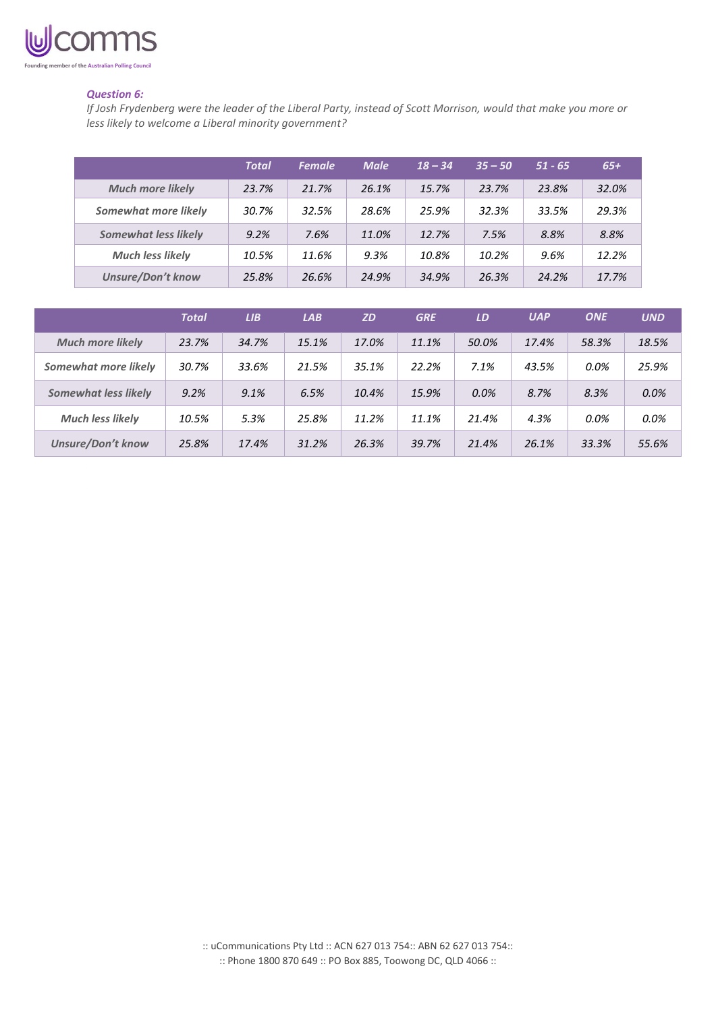

### *Question 6:*

*If Josh Frydenberg were the leader of the Liberal Party, instead of Scott Morrison, would that make you more or less likely to welcome a Liberal minority government?*

|                             | Total | <b>Female</b> | <b>Male</b> | $18 - 34$ | $35 - 50$ | $51 - 65$ | $65+$ |
|-----------------------------|-------|---------------|-------------|-----------|-----------|-----------|-------|
| <b>Much more likely</b>     | 23.7% | 21.7%         | 26.1%       | 15.7%     | 23.7%     | 23.8%     | 32.0% |
| Somewhat more likely        | 30.7% | 32.5%         | 28.6%       | 25.9%     | 32.3%     | 33.5%     | 29.3% |
| <b>Somewhat less likely</b> | 9.2%  | 7.6%          | 11.0%       | 12.7%     | 7.5%      | 8.8%      | 8.8%  |
| <b>Much less likely</b>     | 10.5% | 11.6%         | 9.3%        | 10.8%     | 10.2%     | 9.6%      | 12.2% |
| <b>Unsure/Don't know</b>    | 25.8% | 26.6%         | 24.9%       | 34.9%     | 26.3%     | 24.2%     | 17.7% |

|                             | <b>Total</b> | LIB   | LAB   | <b>ZD</b> | <b>GRE</b> | LD    | <b>UAP</b> | <b>ONE</b> | <b>UND</b> |
|-----------------------------|--------------|-------|-------|-----------|------------|-------|------------|------------|------------|
| <b>Much more likely</b>     | 23.7%        | 34.7% | 15.1% | 17.0%     | 11.1%      | 50.0% | 17.4%      | 58.3%      | 18.5%      |
| Somewhat more likely        | 30.7%        | 33.6% | 21.5% | 35.1%     | 22.2%      | 7.1%  | 43.5%      | $0.0\%$    | 25.9%      |
| <b>Somewhat less likely</b> | 9.2%         | 9.1%  | 6.5%  | 10.4%     | 15.9%      | 0.0%  | 8.7%       | 8.3%       | 0.0%       |
| <b>Much less likely</b>     | 10.5%        | 5.3%  | 25.8% | 11.2%     | 11.1%      | 21.4% | 4.3%       | $0.0\%$    | 0.0%       |
| <b>Unsure/Don't know</b>    | 25.8%        | 17.4% | 31.2% | 26.3%     | 39.7%      | 21.4% | 26.1%      | 33.3%      | 55.6%      |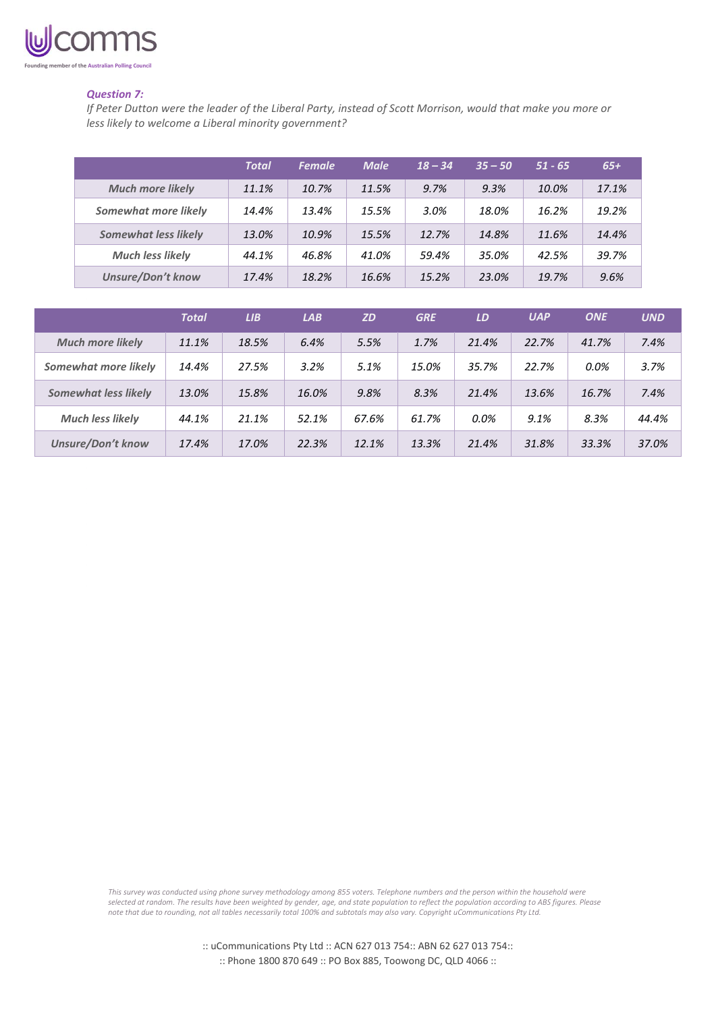

### *Question 7:*

*If Peter Dutton were the leader of the Liberal Party, instead of Scott Morrison, would that make you more or less likely to welcome a Liberal minority government?*

|                             | <b>Total</b> | <b>Female</b> | <b>Male</b> | $18 - 34$ | $35 - 50$ | $51 - 65$ | $65+$ |
|-----------------------------|--------------|---------------|-------------|-----------|-----------|-----------|-------|
| <b>Much more likely</b>     | 11.1%        | 10.7%         | 11.5%       | 9.7%      | 9.3%      | 10.0%     | 17.1% |
| Somewhat more likely        | 14.4%        | 13.4%         | 15.5%       | 3.0%      | 18.0%     | 16.2%     | 19.2% |
| <b>Somewhat less likely</b> | 13.0%        | 10.9%         | 15.5%       | 12.7%     | 14.8%     | 11.6%     | 14.4% |
| <b>Much less likely</b>     | 44.1%        | 46.8%         | 41.0%       | 59.4%     | 35.0%     | 42.5%     | 39.7% |
| <b>Unsure/Don't know</b>    | 17.4%        | 18.2%         | 16.6%       | 15.2%     | 23.0%     | 19.7%     | 9.6%  |

|                             | <b>Total</b> | LIB   | LAB   | <b>ZD</b> | <b>GRE</b> | LD    | <b>UAP</b> | <b>ONE</b> | <b>UND</b> |
|-----------------------------|--------------|-------|-------|-----------|------------|-------|------------|------------|------------|
| <b>Much more likely</b>     | 11.1%        | 18.5% | 6.4%  | 5.5%      | 1.7%       | 21.4% | 22.7%      | 41.7%      | 7.4%       |
| Somewhat more likely        | 14.4%        | 27.5% | 3.2%  | 5.1%      | 15.0%      | 35.7% | 22.7%      | 0.0%       | 3.7%       |
| <b>Somewhat less likely</b> | 13.0%        | 15.8% | 16.0% | 9.8%      | 8.3%       | 21.4% | 13.6%      | 16.7%      | 7.4%       |
| <b>Much less likely</b>     | 44.1%        | 21.1% | 52.1% | 67.6%     | 61.7%      | 0.0%  | 9.1%       | 8.3%       | 44.4%      |
| <b>Unsure/Don't know</b>    | 17.4%        | 17.0% | 22.3% | 12.1%     | 13.3%      | 21.4% | 31.8%      | 33.3%      | 37.0%      |

*This survey was conducted using phone survey methodology among 855 voters. Telephone numbers and the person within the household were selected at random. The results have been weighted by gender, age, and state population to reflect the population according to ABS figures. Please note that due to rounding, not all tables necessarily total 100% and subtotals may also vary. Copyright uCommunications Pty Ltd.*

> :: uCommunications Pty Ltd :: ACN 627 013 754:: ABN 62 627 013 754:: :: Phone 1800 870 649 :: PO Box 885, Toowong DC, QLD 4066 ::